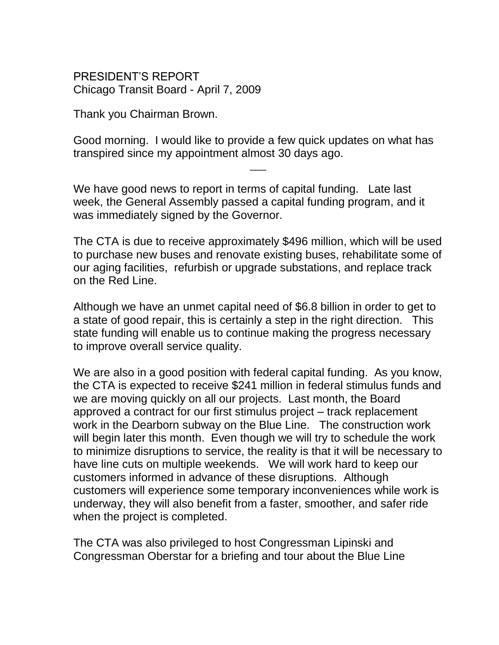PRESIDENT'S REPORT Chicago Transit Board - April 7, 2009

Thank you Chairman Brown.

Good morning. I would like to provide a few quick updates on what has transpired since my appointment almost 30 days ago.

 $\overline{\phantom{a}}$ 

We have good news to report in terms of capital funding. Late last week, the General Assembly passed a capital funding program, and it was immediately signed by the Governor.

The CTA is due to receive approximately \$496 million, which will be used to purchase new buses and renovate existing buses, rehabilitate some of our aging facilities, refurbish or upgrade substations, and replace track on the Red Line.

Although we have an unmet capital need of \$6.8 billion in order to get to a state of good repair, this is certainly a step in the right direction. This state funding will enable us to continue making the progress necessary to improve overall service quality.

We are also in a good position with federal capital funding. As you know, the CTA is expected to receive \$241 million in federal stimulus funds and we are moving quickly on all our projects. Last month, the Board approved a contract for our first stimulus project – track replacement work in the Dearborn subway on the Blue Line. The construction work will begin later this month. Even though we will try to schedule the work to minimize disruptions to service, the reality is that it will be necessary to have line cuts on multiple weekends. We will work hard to keep our customers informed in advance of these disruptions. Although customers will experience some temporary inconveniences while work is underway, they will also benefit from a faster, smoother, and safer ride when the project is completed.

The CTA was also privileged to host Congressman Lipinski and Congressman Oberstar for a briefing and tour about the Blue Line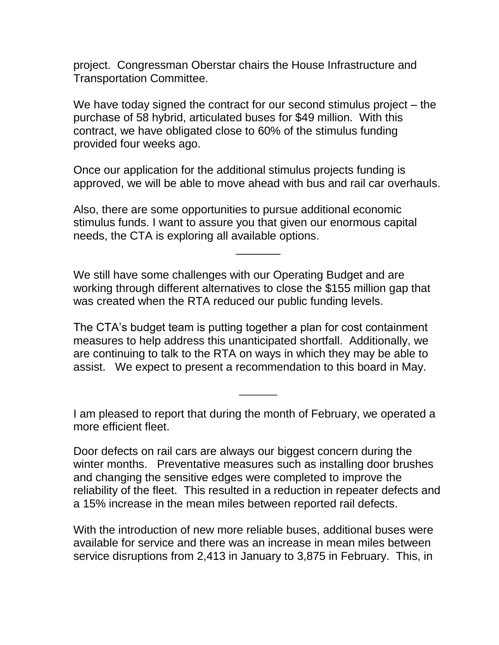project. Congressman Oberstar chairs the House Infrastructure and Transportation Committee.

We have today signed the contract for our second stimulus project – the purchase of 58 hybrid, articulated buses for \$49 million. With this contract, we have obligated close to 60% of the stimulus funding provided four weeks ago.

Once our application for the additional stimulus projects funding is approved, we will be able to move ahead with bus and rail car overhauls.

Also, there are some opportunities to pursue additional economic stimulus funds. I want to assure you that given our enormous capital needs, the CTA is exploring all available options.

We still have some challenges with our Operating Budget and are working through different alternatives to close the \$155 million gap that was created when the RTA reduced our public funding levels.

\_\_\_\_\_\_\_

The CTA's budget team is putting together a plan for cost containment measures to help address this unanticipated shortfall. Additionally, we are continuing to talk to the RTA on ways in which they may be able to assist. We expect to present a recommendation to this board in May.

I am pleased to report that during the month of February, we operated a more efficient fleet.

 $\overline{\phantom{a}}$ 

Door defects on rail cars are always our biggest concern during the winter months. Preventative measures such as installing door brushes and changing the sensitive edges were completed to improve the reliability of the fleet. This resulted in a reduction in repeater defects and a 15% increase in the mean miles between reported rail defects.

With the introduction of new more reliable buses, additional buses were available for service and there was an increase in mean miles between service disruptions from 2,413 in January to 3,875 in February. This, in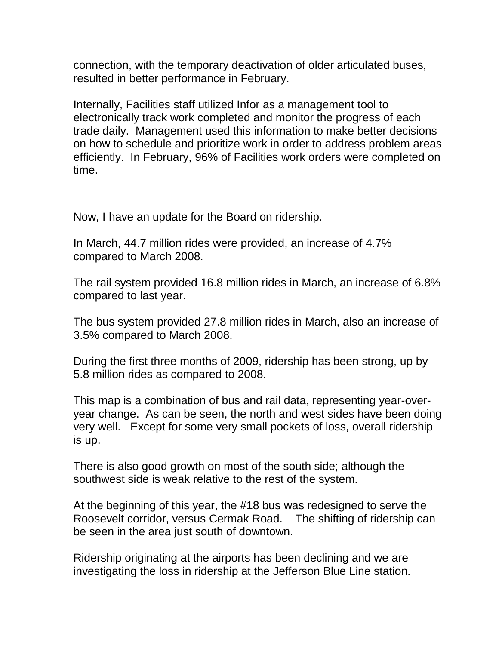connection, with the temporary deactivation of older articulated buses, resulted in better performance in February.

Internally, Facilities staff utilized Infor as a management tool to electronically track work completed and monitor the progress of each trade daily. Management used this information to make better decisions on how to schedule and prioritize work in order to address problem areas efficiently. In February, 96% of Facilities work orders were completed on time.

 $\overline{\phantom{a}}$ 

Now, I have an update for the Board on ridership.

In March, 44.7 million rides were provided, an increase of 4.7% compared to March 2008.

The rail system provided 16.8 million rides in March, an increase of 6.8% compared to last year.

The bus system provided 27.8 million rides in March, also an increase of 3.5% compared to March 2008.

During the first three months of 2009, ridership has been strong, up by 5.8 million rides as compared to 2008.

This map is a combination of bus and rail data, representing year-overyear change. As can be seen, the north and west sides have been doing very well. Except for some very small pockets of loss, overall ridership is up.

There is also good growth on most of the south side; although the southwest side is weak relative to the rest of the system.

At the beginning of this year, the #18 bus was redesigned to serve the Roosevelt corridor, versus Cermak Road. The shifting of ridership can be seen in the area just south of downtown.

Ridership originating at the airports has been declining and we are investigating the loss in ridership at the Jefferson Blue Line station.